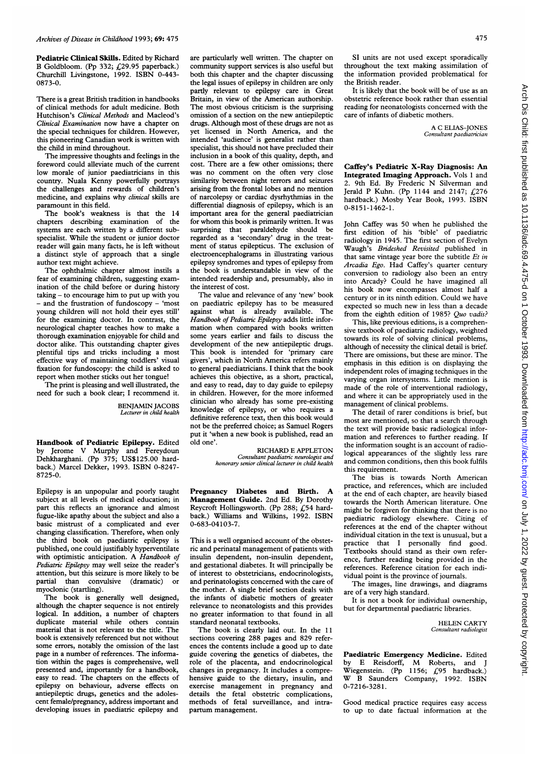Pediatric Clinical Skills. Edited by Richard B Goldbloom. (Pp 332;  $f(29.95)$  paperback.) Churchill Livingstone, 1992. ISBN 0-443- 0873-0.

There is a great British tradition in handbooks of clinical methods for adult medicine. Both Hutchison's Clinical Methods and Macleod's Clinical Examination now have <sup>a</sup> chapter on the special techniques for children. However, this pioneering Canadian work is written with the child in mind throughout.

The impressive thoughts and feelings in the foreword could alleviate much of the current low morale of junior paediatricians in this country. Nuala Kenny powerfully portrays the challenges and rewards of children's medicine, and explains why *clinical* skills are paramount in this field.

The book's weakness is that the 14 chapters describing examination of the systems are each written by a different subspecialist. While the student or junior doctor reader will gain many facts, he is left without a distinct style of approach that a single author text might achieve.

The ophthalmic chapter almost instils <sup>a</sup> fear of examining children, suggesting examination of the child before or during history taking - to encourage him to put up with you - and the frustration of fundoscopy - 'most young children will not hold their eyes still' for the examining doctor. In contrast, the neurological chapter teaches how to make <sup>a</sup> thorough examination enjoyable for child and doctor alike. This outstanding chapter gives plentiful tips and tricks including a most effective way of maintaining toddlers' visual fixation for fundoscopy: the child is asked to report when mother sticks out her tongue!

The print is pleasing and well illustrated, the need for such a book clear; <sup>I</sup> recommend it.

> BENJAMIN JACOBS Lecturer in child health

Handbook of Pediatric Epilepsy. Edited by Jerome V Murphy and Fereydoun Dehkharghani. (Pp 375; US\$125.00 hardback.) Marcel Dekker, 1993. ISBN 0-8247- 8725-0.

Epilepsy is an unpopular and poorly taught subject at all levels of medical education; in part this reflects an ignorance and almost fugue-like apathy about the subject and also a basic mistrust of a complicated and ever changing classification. Therefore, when only the third book on paediatric epilepsy is published, one could justifiably hyperventilate with optimistic anticipation. A Handbook of Pediatric Epilepsy may well seize the reader's attention, but this seizure is more likely to be partial than convulsive (dramatic) or myoclonic (startling).

The book is generally well designed, although the chapter sequence is not entirely logical. In addition, a number of chapters duplicate material while others contain material that is not relevant to the title. The book is extensively referenced but not without some errors, notably the omission of the last page in a number of references. The information within the pages is comprehensive, well presented and, importantly for a handbook, easy to read. The chapters on the effects of epilepsy on behaviour, adverse effects on antiepileptic drugs, genetics and the adolescent female/pregnancy, address important and developing issues in paediatric epilepsy and

are particularly well written. The chapter on community support services is also useful but both this chapter and the chapter discussing the legal issues of epilepsy in children are only partly relevant to epilepsy care in Great Britain, in view of the American authorship. The most obvious criticism is the surprising omission of a section on the new antiepileptic drugs. Although most of these drugs are not as yet licensed in North America, and the intended 'audience' is generalist rather than specialist, this should not have precluded their inclusion in a book of this quality, depth, and cost. There are a few other omissions; there was no comment on the often very close similarity between night terrors and seizures arising from the frontal lobes and no mention of narcolepsy or cardiac dysrhythmias in the differential diagnosis of epilepsy, which is an important area for the general paediatrician for whom this book is primarily written. It was surprising that paraldehyde should be regarded as a 'secondary' drug in the treatment of status epilepticus. The exclusion of electroencephalograms in illustrating various epilepsy syndromes and types of epilepsy from the book is understandable in view of the intended readership and, presumably, also in the interest of cost.

The value and relevance of any 'new' book on paediatric epilepsy has to be measured against what is already available. The Handbook of Pediatric Epilepsy adds little information when compared with books written some years earlier and fails to discuss the development of the new antiepileptic drugs. This book is intended for 'primary care givers', which in North America refers mainly to general paediatricians. <sup>I</sup> think that the book achieves this objective, as a short, practical, and easy to read, day to day guide to epilepsy in children. However, for the more informed clinician who already has some pre-existing knowledge of epilepsy, or who requires a definitive reference text, then this book would not be the preferred choice; as Samuel Rogers put it 'when a new book is published, read an old one'.

> RICHARD E APPLETON Consultant paediatric neurologist and honorary senior clinical lecturer in child health

Pregnancy Diabetes and Birth. A Management Guide. 2nd Ed. By Dorothy Reycroft Hollingsworth. (Pp 288; £54 hardback.) Williams and Wilkins, 1992. ISBN 0-683-04103-7.

This is a well organised account of the obstetric and perinatal management of patients with insulin dependent, non-insulin dependent, and gestational diabetes. It will principally be of interest to obstetricians, endocrinologists, and perinatologists concerned with the care of the mother. A single brief section deals with the infants of diabetic mothers of greater relevance to neonatologists and this provides no greater information to that found in all standard neonatal textbooks.

The book is clearly laid out. In the <sup>11</sup> sections covering 288 pages and 829 references the contents include a good up to date guide covering the genetics of diabetes, the role of the placenta, and endocrinological changes in pregnancy. It includes a comprehensive guide to the dietary, insulin, and exercise management in pregnancy and details the fetal obstetric complications, methods of fetal surveillance, and intrapartum management.

SI units are not used except sporadically throughout the text making assimilation of the information provided problematical for the British reader.

It is likely that the book will be of use as an obstetric reference book rather than essential reading for neonatologists concerned with the care of infants of diabetic mothers.

> A C ELIAS-JONES Consultant paediatrician

Caffey's Pediatric X-Ray Diagnosis: An Integrated Imaging Approach. Vols <sup>1</sup> and 2. 9th Ed. By Frederic N Silverman and Jerald P Kuhn. (Pp 1144 and 2147; £276 hardback.) Mosby Year Book, 1993. ISBN 0-8151-1462-1.

John Caffey was 50 when he published the first edition of his 'bible' of paediatric radiology in 1945. The first section of Evelyn Waugh's Brideshed Revisited published in that same vintage year bore the subtitle Et in Arcadia Ego. Had Caffey's quarter century conversion to radiology also been an entry into Arcady? Could he have imagined all his book now encompasses almost half <sup>a</sup> century or in its ninth edition. Could we have expected so much new in less than <sup>a</sup> decade from the eighth edition of 1985? Quo vadis?

This, like previous editions, is a comprehensive textbook of paediatric radiology, weighted towards its role of solving clinical problems, although of necessity the clinical detail is brief. There are omissions, but these are minor. The emphasis in this edition is on displaying the independent roles of imaging techniques in the varying organ intersystems. Little mention is made of the role of interventional radiology, and where it can be appropriately used in the management of clinical problems.

The detail of rarer conditions is brief, but most are mentioned, so that a search through the text will provide basic radiological information and references to further reading. If the information sought is an account of radiological appearances of the slightly less rare and common conditions, then this book fulfils this requirement.

The bias is towards North American practice, and references, which are included at the end of each chapter, are heavily biased towards the North American literature. One might be forgiven for thinking that there is no paediatric radiology elsewhere. Citing of references at the end of the chapter without individual citation in the text is unusual, but a practice that <sup>I</sup> personally find good. Textbooks should stand as their own reference, further reading being provided in the references. Reference citation for each individual point is the province of journals.

The images, line drawings, and diagrams are of a very high standard.

It is not a book for individual ownership, but for departmental paediatric libraries.

> HELEN CARTY Consultant radiologist

Paediatric Emergency Medicine. Edited by <sup>E</sup> Reisdorff, M Roberts, and <sup>J</sup> Wiegenstein. (Pp 1156;  $f(95)$  hardback.) W <sup>B</sup> Saunders Company, 1992. ISBN 0-7216-3281.

Good medical practice requires easy access to up to date factual information at the